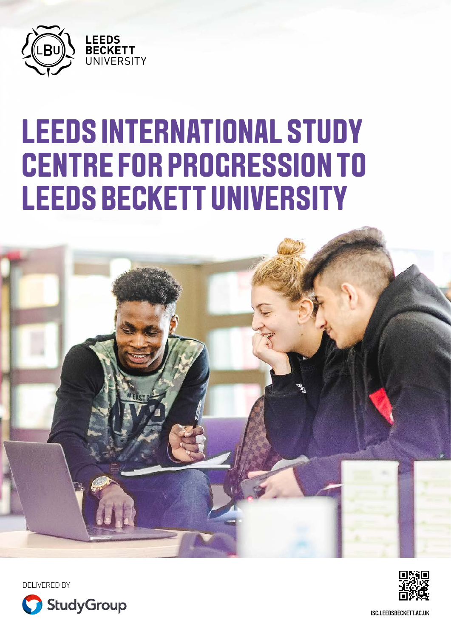

# **LEEDS INTERNATIONAL STUDY CENTRE FOR PROGRESSION TO LEEDS BECKETT UNIVERSITY**





DELIVERED BY



[ISC.LEEDSBECKETT.AC.UK](http://isc.leedsbeckett.ac.uk)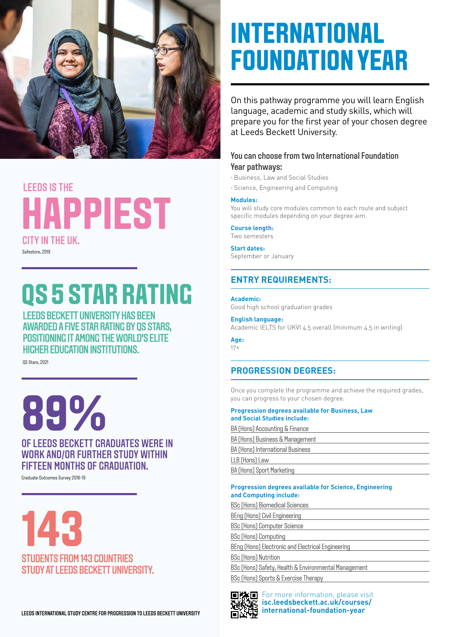

## CITY IN THE UK. **HAPPIEST** LEEDS IS THE

Safestore, 2019

# **QS 5 STAR RATING**

LEEDS BECKETT UNIVERSITY HAS BEEN AWARDED A FIVE STAR RATING BY QS STARS, POSITIONING IT AMONG THE WORLD'S FLITE HIGHER EDUCATION INSTITUTIONS.

QS Stars, 2021

**89%**

## OF LEEDS BECKETT GRADUATES WERE IN WORK AND/OR FURTHER STUDY WITHIN FIFTEEN MONTHS OF GRADUATION.

Graduate Outcomes Survey 2018-19

**143** STUDENTS FROM 143 COUNTRIES STUDY AT LEEDS BECKETT UNIVERSITY.

## **[international-foundation-year](https://isc.leedsbeckett.ac.uk/courses/international-foundation-year)** Lee Engineer Centre For Progression To Lee Beckett University **Legislation** in the mational-foundation-year

## **INTERNATIONAL FOUNDATION YEAR**

On this pathway programme you will learn English language, academic and study skills, which will prepare you for the first year of your chosen degree at Leeds Beckett University.

## You can choose from two International Foundation Year pathways:

- · Business, Law and Social Studies
- · Science, Engineering and Computing

#### **Modules:**

You will study core modules common to each route and subject specific modules depending on your degree aim.

**Course length:**

Two semesters **Start dates:**

September or January

## **ENTRY REQUIREMENTS:**

**Academic:**  Good high school graduation grades

### **English language:**

Academic IELTS for UKVI 4.5 overall (minimum 4.5 in writing)

**Age:**  17+

## **PROGRESSION DEGREES:**

Once you complete the programme and achieve the required grades, you can progress to your chosen degree.

#### **Progression degrees available for Business, Law and Social Studies include:**

| BA (Hons) Accounting & Finance   |  |
|----------------------------------|--|
| BA (Hons) Business & Management  |  |
| BA (Hons) International Business |  |
| LLB (Hons) Law                   |  |
| BA (Hons) Sport Marketing        |  |
|                                  |  |

#### **Progression degrees available for Science, Engineering and Computing include:**

BSc (Hons) Biomedical Sciences BEng (Hons) Civil Engineering BSc (Hons) Computer Science BSc (Hons) Computing BEng (Hons) Electronic and Electrical Engineering BSc (Hons) Nutrition BSc (Hons) Safety, Health & Environmental Management BSc (Hons) Sports & Exercise Therapy



For more information, please visit **[isc.leedsbeckett.ac.uk/courses/](https://isc.leedsbeckett.ac.uk/courses/international-foundation-year)**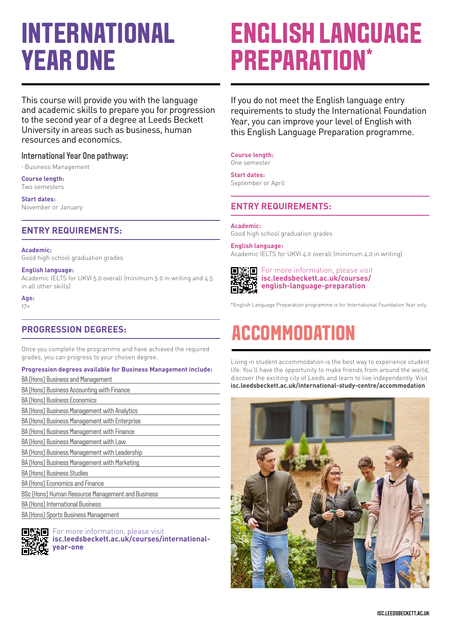## **INTERNATIONAL YEAR ONE**

This course will provide you with the language and academic skills to prepare you for progression to the second year of a degree at Leeds Beckett University in areas such as business, human resources and economics.

### International Year One pathway:

· Business Management

### **Course length:**

Two semesters

**Start dates:** November or January

## **ENTRY REQUIREMENTS:**

#### **Academic:**

Good high school graduation grades

#### **English language:**

Academic IELTS for UKVI 5.0 overall (minimum 5.0 in writing and 4.5 in all other skills)

**Age:** 17+

## **PROGRESSION DEGREES:**

Once you complete the programme and have achieved the required grades, you can progress to your chosen degree.

### **Progression degrees available for Business Management include:**

| BA (Hons) Business and Management                 |
|---------------------------------------------------|
| BA (Hons) Business Accounting with Finance        |
| <b>BA (Hons) Business Economics</b>               |
| BA (Hons) Business Management with Analytics      |
| BA (Hons) Business Management with Enterprise     |
| BA (Hons) Business Management with Finance        |
| BA (Hons) Business Management with Law            |
| BA (Hons) Business Management with Leadership     |
| BA (Hons) Business Management with Marketing      |
| <b>BA (Hons) Business Studies</b>                 |
| BA (Hons) Economics and Finance                   |
| BSc (Hons) Human Resource Management and Business |
| BA (Hons) International Business                  |
| BA (Hons) Sports Business Management              |
|                                                   |



### For more information, please visit

**[isc.leedsbeckett.ac.uk/courses/international](http://isc.leedsbeckett.ac.uk/courses/international-year-one)[year-one](http://isc.leedsbeckett.ac.uk/courses/international-year-one)**

## **ENGLISH LANGUAGE PREPARATION\***

If you do not meet the English language entry requirements to study the International Foundation Year, you can improve your level of English with this English Language Preparation programme.

**Course length:**

One semester

**Start dates:** September or April

## **ENTRY REQUIREMENTS:**

#### **Academic:**

Good high school graduation grades

#### **English language:**

Academic IELTS for UKVI 4.0 overall (minimum 4.0 in writing)

ď ш

For more information, please visit **[isc.leedsbeckett.ac.uk/courses/](https://isc.leedsbeckett.ac.uk/courses/english-language-preparation) [english-language-preparation](https://isc.leedsbeckett.ac.uk/courses/english-language-preparation)**

\*English Language Preparation programme is for International Foundation Year only.

## **ACCOMMODATION**

Living in student accommodation is the best way to experience student life. You'll have the opportunity to make friends from around the world, discover the exciting city of Leeds and learn to live independently. Visit **[isc.leedsbeckett.ac.uk/international-study-centre/accommodation](http://isc.leedsbeckett.ac.uk/international-study-centre/accommodation)**